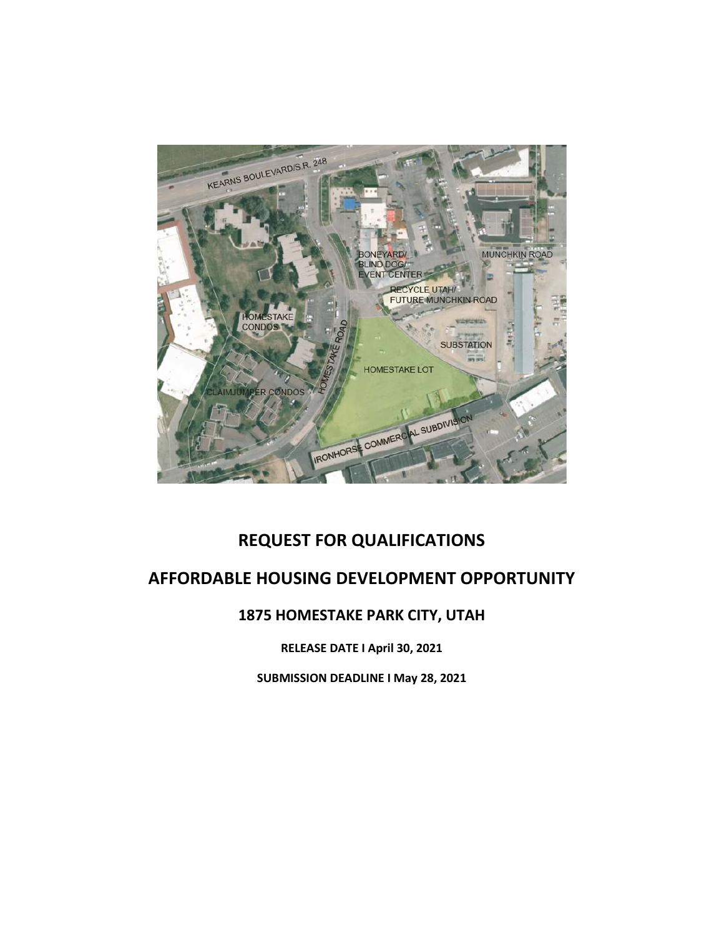

# **REQUEST FOR QUALIFICATIONS**

# **AFFORDABLE HOUSING DEVELOPMENT OPPORTUNITY**

# **1875 HOMESTAKE PARK CITY, UTAH**

**RELEASE DATE I April 30, 2021**

**SUBMISSION DEADLINE I May 28, 2021**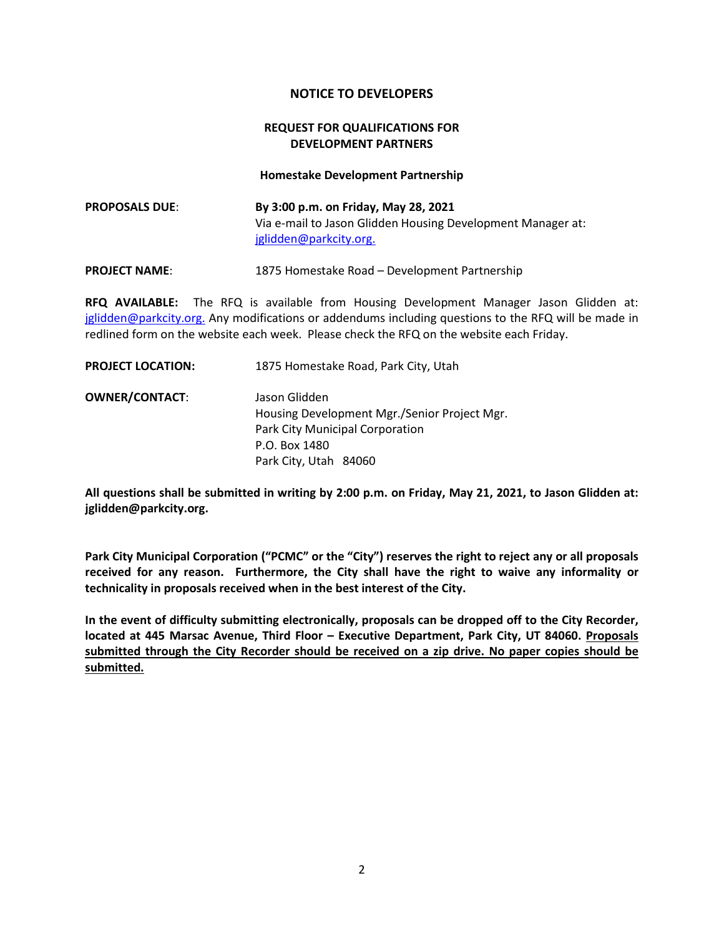#### **NOTICE TO DEVELOPERS**

#### **REQUEST FOR QUALIFICATIONS FOR DEVELOPMENT PARTNERS**

**Homestake Development Partnership**

| <b>PROPOSALS DUE:</b> | By 3:00 p.m. on Friday, May 28, 2021                        |
|-----------------------|-------------------------------------------------------------|
|                       | Via e-mail to Jason Glidden Housing Development Manager at: |
|                       | jglidden@parkcity.org.                                      |

**PROJECT NAME:** 1875 Homestake Road – Development Partnership

**RFQ AVAILABLE:** The RFQ is available from Housing Development Manager Jason Glidden at: [jglidden@parkcity.org.](mailto:jglidden@parkcity.org) Any modifications or addendums including questions to the RFQ will be made in redlined form on the website each week. Please check the RFQ on the website each Friday.

| 1875 Homestake Road, Park City, Utah         |
|----------------------------------------------|
| Jason Glidden                                |
| Housing Development Mgr./Senior Project Mgr. |
| Park City Municipal Corporation              |
| P.O. Box 1480                                |
| Park City, Utah 84060                        |
|                                              |

**All questions shall be submitted in writing by 2:00 p.m. on Friday, May 21, 2021, to Jason Glidden at: jglidden@parkcity.org.**

**Park City Municipal Corporation ("PCMC" or the "City") reserves the right to reject any or all proposals received for any reason. Furthermore, the City shall have the right to waive any informality or technicality in proposals received when in the best interest of the City.**

**In the event of difficulty submitting electronically, proposals can be dropped off to the City Recorder, located at 445 Marsac Avenue, Third Floor – Executive Department, Park City, UT 84060. Proposals submitted through the City Recorder should be received on a zip drive. No paper copies should be submitted.**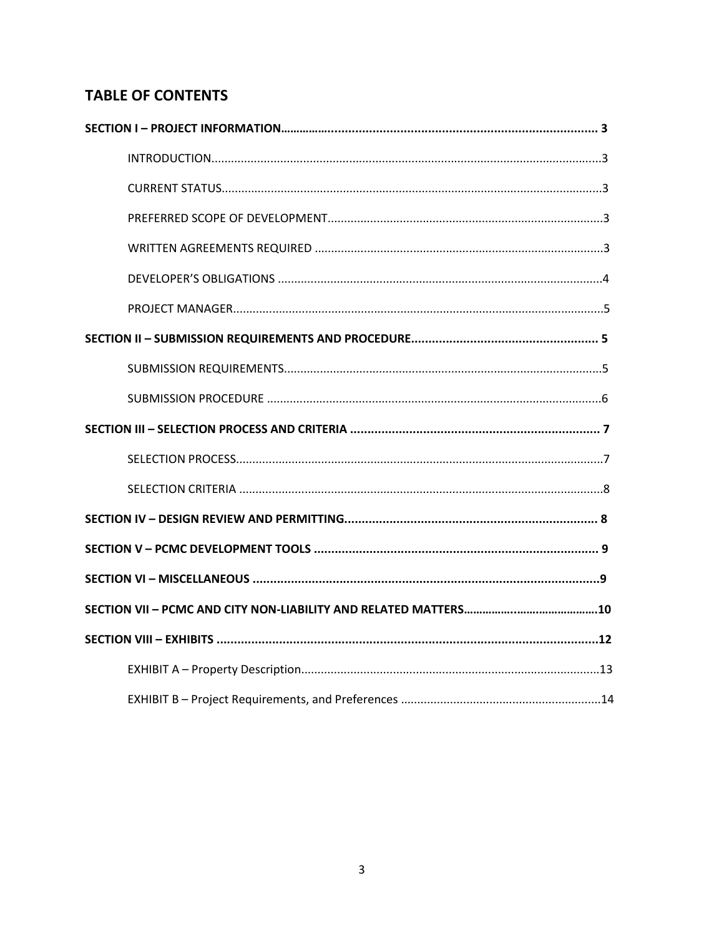# **TABLE OF CONTENTS**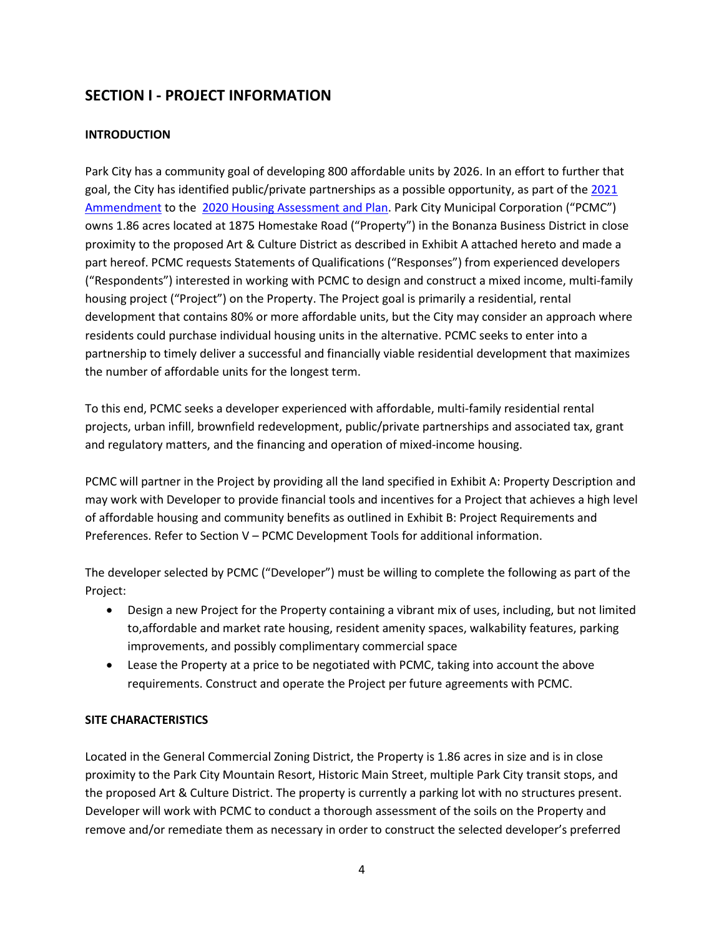# **SECTION I - PROJECT INFORMATION**

### **INTRODUCTION**

Park City has a community goal of developing 800 affordable units by 2026. In an effort to further that goal, the City has identified public/private partnerships as a possible opportunity, as part of the [2021](https://www.parkcity.org/Home/ShowDocument?id=69464)  [Ammendment](https://www.parkcity.org/Home/ShowDocument?id=69464) to the [2020 Housing Assessment and Plan.](https://www.parkcity.org/Home/ShowDocument?id=64943) Park City Municipal Corporation ("PCMC") owns 1.86 acres located at 1875 Homestake Road ("Property") in the Bonanza Business District in close proximity to the proposed Art & Culture District as described in Exhibit A attached hereto and made a part hereof. PCMC requests Statements of Qualifications ("Responses") from experienced developers ("Respondents") interested in working with PCMC to design and construct a mixed income, multi-family housing project ("Project") on the Property. The Project goal is primarily a residential, rental development that contains 80% or more affordable units, but the City may consider an approach where residents could purchase individual housing units in the alternative. PCMC seeks to enter into a partnership to timely deliver a successful and financially viable residential development that maximizes the number of affordable units for the longest term.

To this end, PCMC seeks a developer experienced with affordable, multi-family residential rental projects, urban infill, brownfield redevelopment, public/private partnerships and associated tax, grant and regulatory matters, and the financing and operation of mixed-income housing.

PCMC will partner in the Project by providing all the land specified in Exhibit A: Property Description and may work with Developer to provide financial tools and incentives for a Project that achieves a high level of affordable housing and community benefits as outlined in Exhibit B: Project Requirements and Preferences. Refer to Section V – PCMC Development Tools for additional information.

The developer selected by PCMC ("Developer") must be willing to complete the following as part of the Project:

- Design a new Project for the Property containing a vibrant mix of uses, including, but not limited to,affordable and market rate housing, resident amenity spaces, walkability features, parking improvements, and possibly complimentary commercial space
- Lease the Property at a price to be negotiated with PCMC, taking into account the above requirements. Construct and operate the Project per future agreements with PCMC.

#### **SITE CHARACTERISTICS**

Located in the General Commercial Zoning District, the Property is 1.86 acres in size and is in close proximity to the Park City Mountain Resort, Historic Main Street, multiple Park City transit stops, and the proposed Art & Culture District. The property is currently a parking lot with no structures present. Developer will work with PCMC to conduct a thorough assessment of the soils on the Property and remove and/or remediate them as necessary in order to construct the selected developer's preferred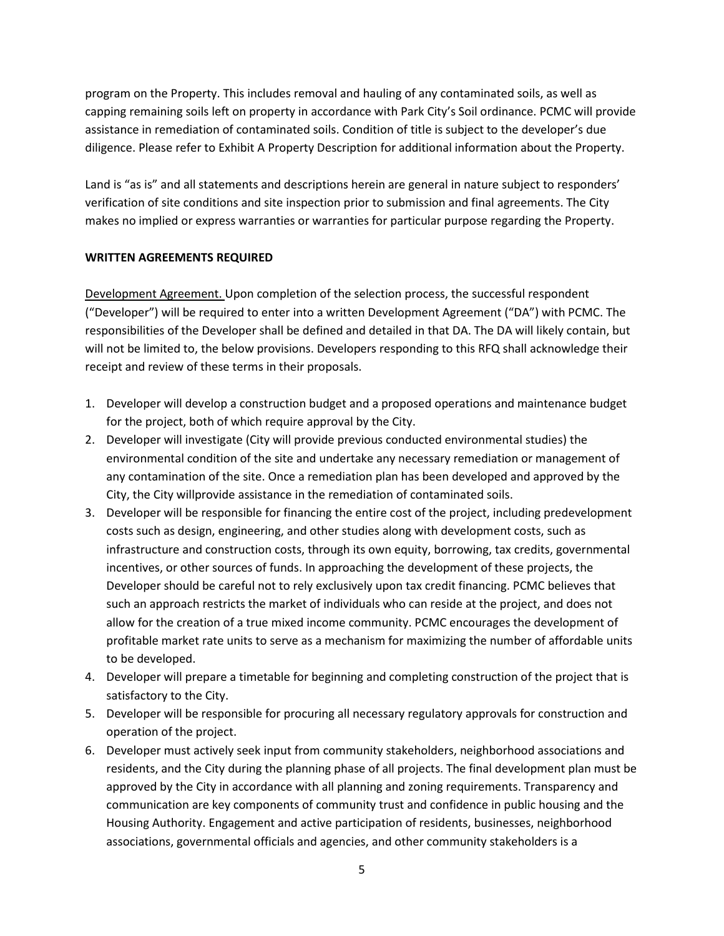program on the Property. This includes removal and hauling of any contaminated soils, as well as capping remaining soils left on property in accordance with Park City's Soil ordinance. PCMC will provide assistance in remediation of contaminated soils. Condition of title is subject to the developer's due diligence. Please refer to Exhibit A Property Description for additional information about the Property.

Land is "as is" and all statements and descriptions herein are general in nature subject to responders' verification of site conditions and site inspection prior to submission and final agreements. The City makes no implied or express warranties or warranties for particular purpose regarding the Property.

#### **WRITTEN AGREEMENTS REQUIRED**

Development Agreement. Upon completion of the selection process, the successful respondent ("Developer") will be required to enter into a written Development Agreement ("DA") with PCMC. The responsibilities of the Developer shall be defined and detailed in that DA. The DA will likely contain, but will not be limited to, the below provisions. Developers responding to this RFQ shall acknowledge their receipt and review of these terms in their proposals.

- 1. Developer will develop a construction budget and a proposed operations and maintenance budget for the project, both of which require approval by the City.
- 2. Developer will investigate (City will provide previous conducted environmental studies) the environmental condition of the site and undertake any necessary remediation or management of any contamination of the site. Once a remediation plan has been developed and approved by the City, the City willprovide assistance in the remediation of contaminated soils.
- 3. Developer will be responsible for financing the entire cost of the project, including predevelopment costs such as design, engineering, and other studies along with development costs, such as infrastructure and construction costs, through its own equity, borrowing, tax credits, governmental incentives, or other sources of funds. In approaching the development of these projects, the Developer should be careful not to rely exclusively upon tax credit financing. PCMC believes that such an approach restricts the market of individuals who can reside at the project, and does not allow for the creation of a true mixed income community. PCMC encourages the development of profitable market rate units to serve as a mechanism for maximizing the number of affordable units to be developed.
- 4. Developer will prepare a timetable for beginning and completing construction of the project that is satisfactory to the City.
- 5. Developer will be responsible for procuring all necessary regulatory approvals for construction and operation of the project.
- 6. Developer must actively seek input from community stakeholders, neighborhood associations and residents, and the City during the planning phase of all projects. The final development plan must be approved by the City in accordance with all planning and zoning requirements. Transparency and communication are key components of community trust and confidence in public housing and the Housing Authority. Engagement and active participation of residents, businesses, neighborhood associations, governmental officials and agencies, and other community stakeholders is a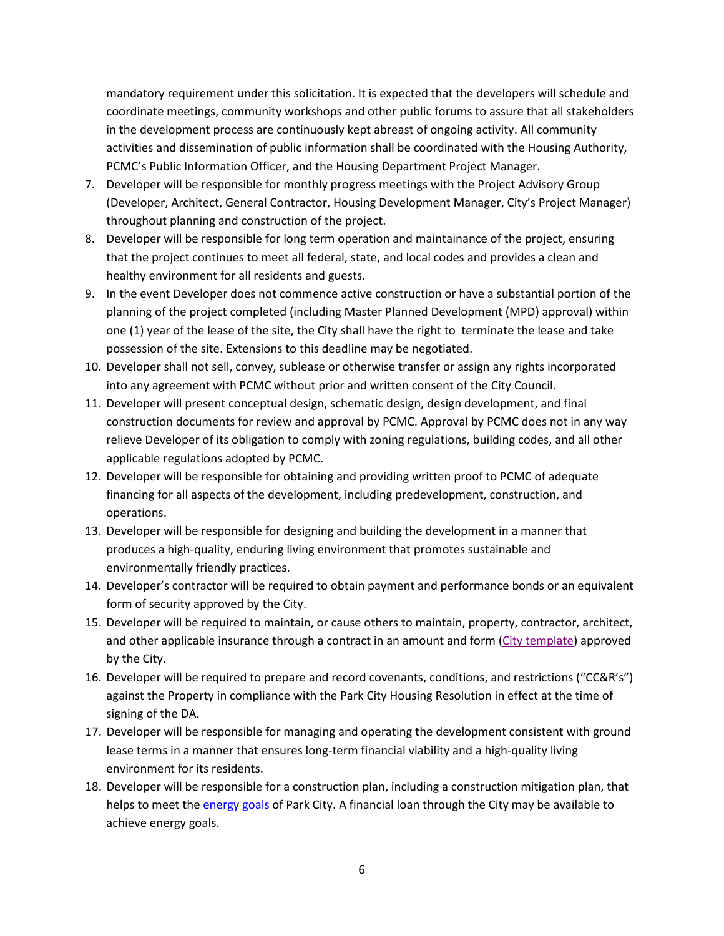mandatory requirement under this solicitation. It is expected that the developers will schedule and coordinate meetings, community workshops and other public forums to assure that all stakeholders in the development process are continuously kept abreast of ongoing activity. All community activities and dissemination of public information shall be coordinated with the Housing Authority, PCMC's Public Information Officer, and the Housing Department Project Manager.

- 7. Developer will be responsible for monthly progress meetings with the Project Advisory Group (Developer, Architect, General Contractor, Housing Development Manager, City's Project Manager) throughout planning and construction of the project.
- 8. Developer will be responsible for long term operation and maintainance of the project, ensuring that the project continues to meet all federal, state, and local codes and provides a clean and healthy environment for all residents and guests.
- 9. In the event Developer does not commence active construction or have a substantial portion of the planning of the project completed (including Master Planned Development (MPD) approval) within one (1) year of the lease of the site, the City shall have the right to terminate the lease and take possession of the site. Extensions to this deadline may be negotiated.
- 10. Developer shall not sell, convey, sublease or otherwise transfer or assign any rights incorporated into any agreement with PCMC without prior and written consent of the City Council.
- 11. Developer will present conceptual design, schematic design, design development, and final construction documents for review and approval by PCMC. Approval by PCMC does not in any way relieve Developer of its obligation to comply with zoning regulations, building codes, and all other applicable regulations adopted by PCMC.
- 12. Developer will be responsible for obtaining and providing written proof to PCMC of adequate financing for all aspects of the development, including predevelopment, construction, and operations.
- 13. Developer will be responsible for designing and building the development in a manner that produces a high-quality, enduring living environment that promotes sustainable and environmentally friendly practices.
- 14. Developer's contractor will be required to obtain payment and performance bonds or an equivalent form of security approved by the City.
- 15. Developer will be required to maintain, or cause others to maintain, property, contractor, architect, and other applicable insurance through a contract in an amount and form [\(City template\)](https://www.parkcity.org/home/showpublisheddocument/69914/637545328603000000) approved by the City.
- 16. Developer will be required to prepare and record covenants, conditions, and restrictions ("CC&R's") against the Property in compliance with the Park City Housing Resolution in effect at the time of signing of the DA.
- 17. Developer will be responsible for managing and operating the development consistent with ground lease terms in a manner that ensures long-term financial viability and a high-quality living environment for its residents.
- 18. Developer will be responsible for a construction plan, including a construction mitigation plan, that helps to meet th[e energy goals](https://parkcity.municipalcodeonline.com/book?type=resolutions#name=28-2017_Net_Zero_Energy_Performance_Requirements) of Park City. A financial loan through the City may be available to achieve energy goals.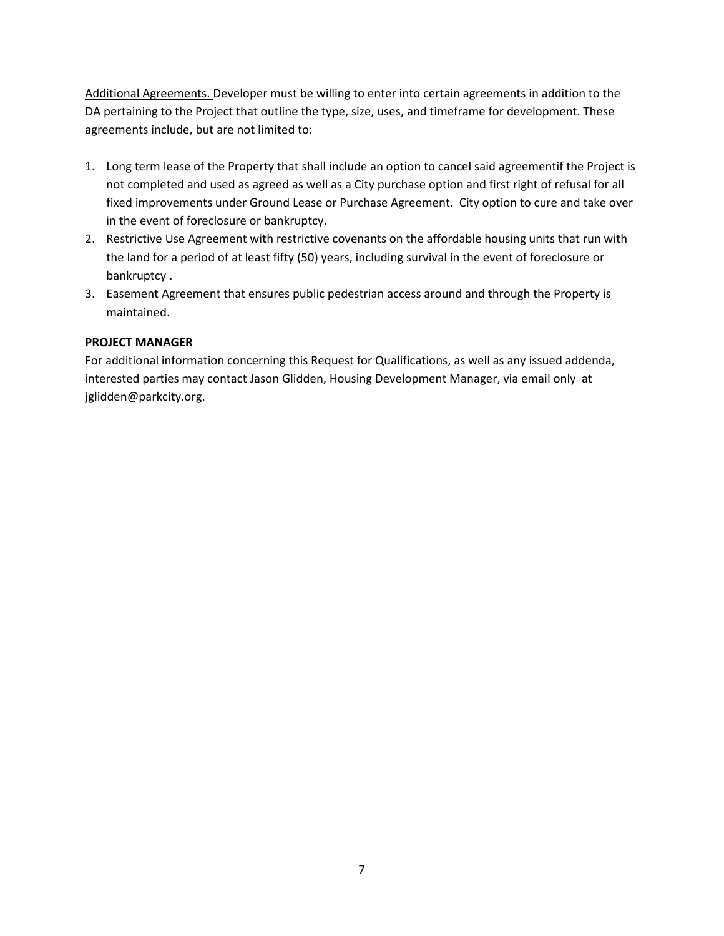Additional Agreements. Developer must be willing to enter into certain agreements in addition to the DA pertaining to the Project that outline the type, size, uses, and timeframe for development. These agreements include, but are not limited to:

- 1. Long term lease of the Property that shall include an option to cancel said agreementif the Project is not completed and used as agreed as well as a City purchase option and first right of refusal for all fixed improvements under Ground Lease or Purchase Agreement. City option to cure and take over in the event of foreclosure or bankruptcy.
- 2. Restrictive Use Agreement with restrictive covenants on the affordable housing units that run with the land for a period of at least fifty (50) years, including survival in the event of foreclosure or bankruptcy .
- 3. Easement Agreement that ensures public pedestrian access around and through the Property is maintained.

### **PROJECT MANAGER**

For additional information concerning this Request for Qualifications, as well as any issued addenda, interested parties may contact Jason Glidden, Housing Development Manager, via email only at jglidden@parkcity.org.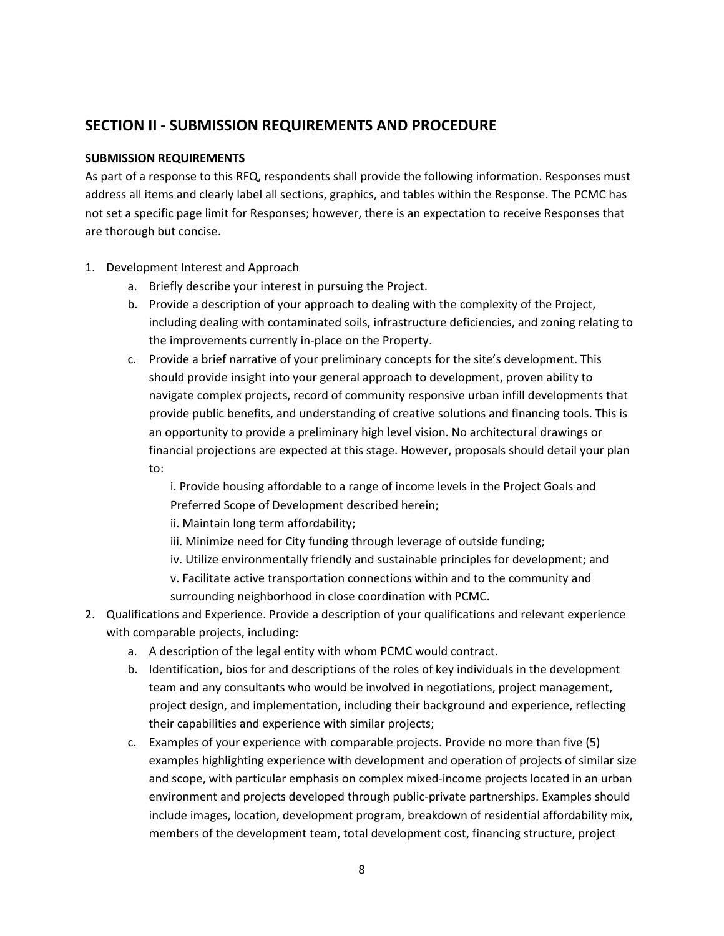# **SECTION II - SUBMISSION REQUIREMENTS AND PROCEDURE**

### **SUBMISSION REQUIREMENTS**

As part of a response to this RFQ, respondents shall provide the following information. Responses must address all items and clearly label all sections, graphics, and tables within the Response. The PCMC has not set a specific page limit for Responses; however, there is an expectation to receive Responses that are thorough but concise.

- 1. Development Interest and Approach
	- a. Briefly describe your interest in pursuing the Project.
	- b. Provide a description of your approach to dealing with the complexity of the Project, including dealing with contaminated soils, infrastructure deficiencies, and zoning relating to the improvements currently in-place on the Property.
	- c. Provide a brief narrative of your preliminary concepts for the site's development. This should provide insight into your general approach to development, proven ability to navigate complex projects, record of community responsive urban infill developments that provide public benefits, and understanding of creative solutions and financing tools. This is an opportunity to provide a preliminary high level vision. No architectural drawings or financial projections are expected at this stage. However, proposals should detail your plan to:

i. Provide housing affordable to a range of income levels in the Project Goals and Preferred Scope of Development described herein;

ii. Maintain long term affordability;

iii. Minimize need for City funding through leverage of outside funding;

- iv. Utilize environmentally friendly and sustainable principles for development; and
- v. Facilitate active transportation connections within and to the community and surrounding neighborhood in close coordination with PCMC.
- 2. Qualifications and Experience. Provide a description of your qualifications and relevant experience with comparable projects, including:
	- a. A description of the legal entity with whom PCMC would contract.
	- b. Identification, bios for and descriptions of the roles of key individuals in the development team and any consultants who would be involved in negotiations, project management, project design, and implementation, including their background and experience, reflecting their capabilities and experience with similar projects;
	- c. Examples of your experience with comparable projects. Provide no more than five (5) examples highlighting experience with development and operation of projects of similar size and scope, with particular emphasis on complex mixed-income projects located in an urban environment and projects developed through public-private partnerships. Examples should include images, location, development program, breakdown of residential affordability mix, members of the development team, total development cost, financing structure, project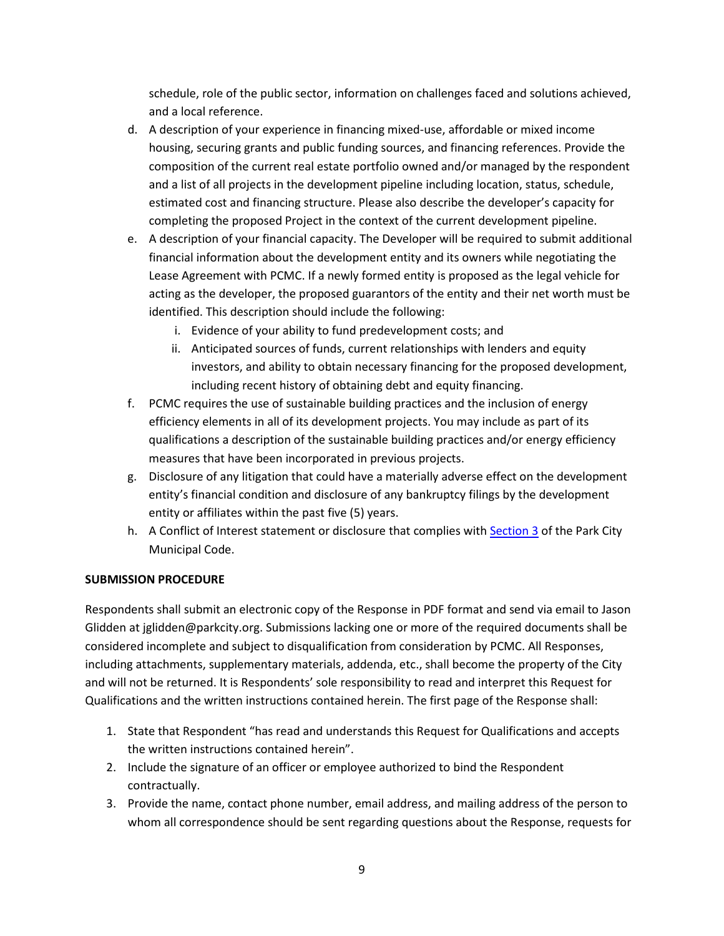schedule, role of the public sector, information on challenges faced and solutions achieved, and a local reference.

- d. A description of your experience in financing mixed-use, affordable or mixed income housing, securing grants and public funding sources, and financing references. Provide the composition of the current real estate portfolio owned and/or managed by the respondent and a list of all projects in the development pipeline including location, status, schedule, estimated cost and financing structure. Please also describe the developer's capacity for completing the proposed Project in the context of the current development pipeline.
- e. A description of your financial capacity. The Developer will be required to submit additional financial information about the development entity and its owners while negotiating the Lease Agreement with PCMC. If a newly formed entity is proposed as the legal vehicle for acting as the developer, the proposed guarantors of the entity and their net worth must be identified. This description should include the following:
	- i. Evidence of your ability to fund predevelopment costs; and
	- ii. Anticipated sources of funds, current relationships with lenders and equity investors, and ability to obtain necessary financing for the proposed development, including recent history of obtaining debt and equity financing.
- f. PCMC requires the use of sustainable building practices and the inclusion of energy efficiency elements in all of its development projects. You may include as part of its qualifications a description of the sustainable building practices and/or energy efficiency measures that have been incorporated in previous projects.
- g. Disclosure of any litigation that could have a materially adverse effect on the development entity's financial condition and disclosure of any bankruptcy filings by the development entity or affiliates within the past five (5) years.
- h. A Conflict of Interest statement or disclosure that complies wit[h Section 3](https://parkcity.municipalcodeonline.com/book?type=ordinances#name=3_Ethics) of the Park City Municipal Code.

### **SUBMISSION PROCEDURE**

Respondents shall submit an electronic copy of the Response in PDF format and send via email to Jason Glidden at jglidden@parkcity.org. Submissions lacking one or more of the required documents shall be considered incomplete and subject to disqualification from consideration by PCMC. All Responses, including attachments, supplementary materials, addenda, etc., shall become the property of the City and will not be returned. It is Respondents' sole responsibility to read and interpret this Request for Qualifications and the written instructions contained herein. The first page of the Response shall:

- 1. State that Respondent "has read and understands this Request for Qualifications and accepts the written instructions contained herein".
- 2. Include the signature of an officer or employee authorized to bind the Respondent contractually.
- 3. Provide the name, contact phone number, email address, and mailing address of the person to whom all correspondence should be sent regarding questions about the Response, requests for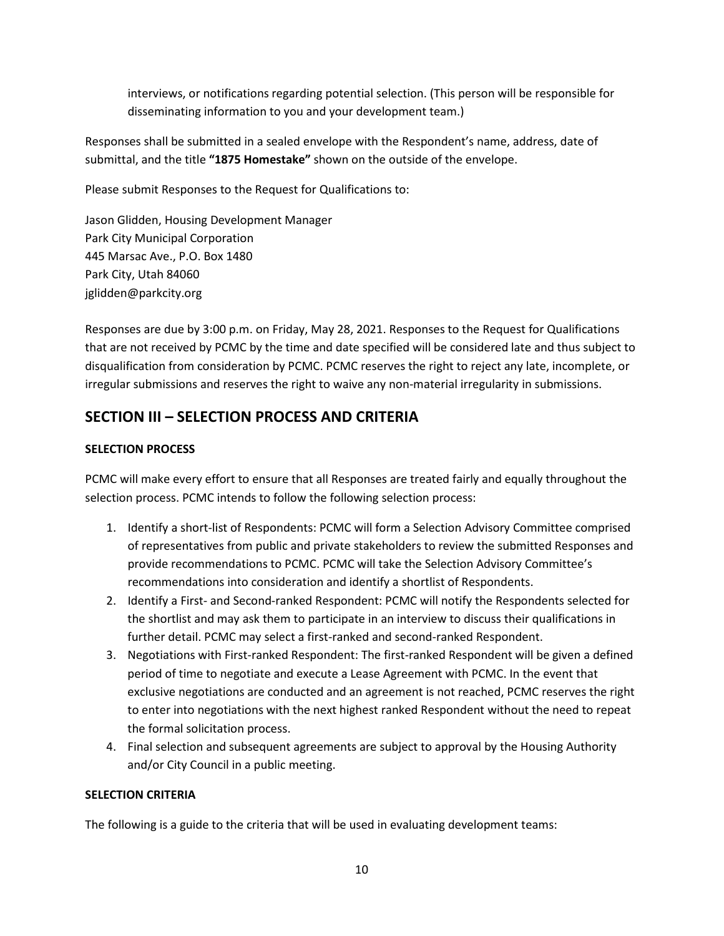interviews, or notifications regarding potential selection. (This person will be responsible for disseminating information to you and your development team.)

Responses shall be submitted in a sealed envelope with the Respondent's name, address, date of submittal, and the title **"1875 Homestake"** shown on the outside of the envelope.

Please submit Responses to the Request for Qualifications to:

Jason Glidden, Housing Development Manager Park City Municipal Corporation 445 Marsac Ave., P.O. Box 1480 Park City, Utah 84060 jglidden@parkcity.org

Responses are due by 3:00 p.m. on Friday, May 28, 2021. Responses to the Request for Qualifications that are not received by PCMC by the time and date specified will be considered late and thus subject to disqualification from consideration by PCMC. PCMC reserves the right to reject any late, incomplete, or irregular submissions and reserves the right to waive any non-material irregularity in submissions.

# **SECTION III – SELECTION PROCESS AND CRITERIA**

### **SELECTION PROCESS**

PCMC will make every effort to ensure that all Responses are treated fairly and equally throughout the selection process. PCMC intends to follow the following selection process:

- 1. Identify a short-list of Respondents: PCMC will form a Selection Advisory Committee comprised of representatives from public and private stakeholders to review the submitted Responses and provide recommendations to PCMC. PCMC will take the Selection Advisory Committee's recommendations into consideration and identify a shortlist of Respondents.
- 2. Identify a First- and Second-ranked Respondent: PCMC will notify the Respondents selected for the shortlist and may ask them to participate in an interview to discuss their qualifications in further detail. PCMC may select a first-ranked and second-ranked Respondent.
- 3. Negotiations with First-ranked Respondent: The first-ranked Respondent will be given a defined period of time to negotiate and execute a Lease Agreement with PCMC. In the event that exclusive negotiations are conducted and an agreement is not reached, PCMC reserves the right to enter into negotiations with the next highest ranked Respondent without the need to repeat the formal solicitation process.
- 4. Final selection and subsequent agreements are subject to approval by the Housing Authority and/or City Council in a public meeting.

### **SELECTION CRITERIA**

The following is a guide to the criteria that will be used in evaluating development teams: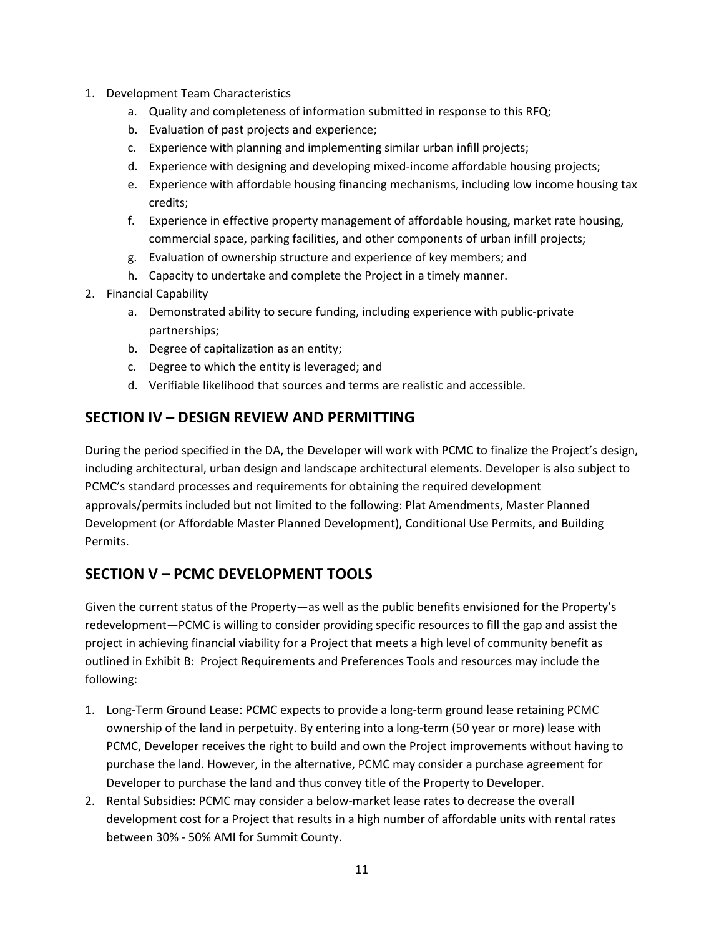- 1. Development Team Characteristics
	- a. Quality and completeness of information submitted in response to this RFQ;
	- b. Evaluation of past projects and experience;
	- c. Experience with planning and implementing similar urban infill projects;
	- d. Experience with designing and developing mixed-income affordable housing projects;
	- e. Experience with affordable housing financing mechanisms, including low income housing tax credits;
	- f. Experience in effective property management of affordable housing, market rate housing, commercial space, parking facilities, and other components of urban infill projects;
	- g. Evaluation of ownership structure and experience of key members; and
	- h. Capacity to undertake and complete the Project in a timely manner.
- 2. Financial Capability
	- a. Demonstrated ability to secure funding, including experience with public-private partnerships;
	- b. Degree of capitalization as an entity;
	- c. Degree to which the entity is leveraged; and
	- d. Verifiable likelihood that sources and terms are realistic and accessible.

## **SECTION IV – DESIGN REVIEW AND PERMITTING**

During the period specified in the DA, the Developer will work with PCMC to finalize the Project's design, including architectural, urban design and landscape architectural elements. Developer is also subject to PCMC's standard processes and requirements for obtaining the required development approvals/permits included but not limited to the following: Plat Amendments, Master Planned Development (or Affordable Master Planned Development), Conditional Use Permits, and Building Permits.

# **SECTION V – PCMC DEVELOPMENT TOOLS**

Given the current status of the Property—as well as the public benefits envisioned for the Property's redevelopment—PCMC is willing to consider providing specific resources to fill the gap and assist the project in achieving financial viability for a Project that meets a high level of community benefit as outlined in Exhibit B: Project Requirements and Preferences Tools and resources may include the following:

- 1. Long-Term Ground Lease: PCMC expects to provide a long-term ground lease retaining PCMC ownership of the land in perpetuity. By entering into a long-term (50 year or more) lease with PCMC, Developer receives the right to build and own the Project improvements without having to purchase the land. However, in the alternative, PCMC may consider a purchase agreement for Developer to purchase the land and thus convey title of the Property to Developer.
- 2. Rental Subsidies: PCMC may consider a below-market lease rates to decrease the overall development cost for a Project that results in a high number of affordable units with rental rates between 30% - 50% AMI for Summit County.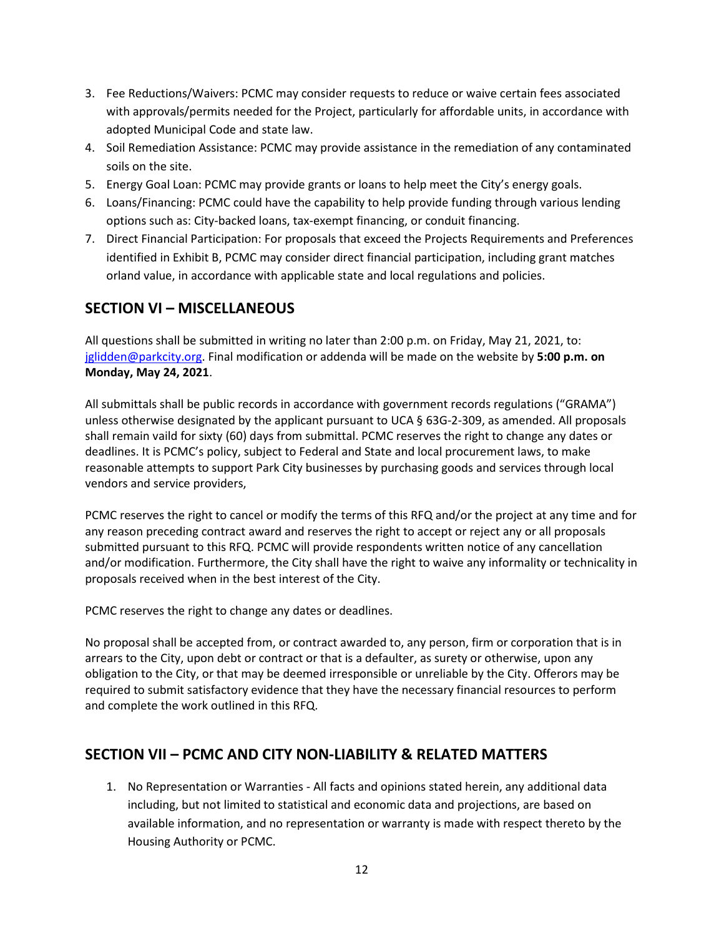- 3. Fee Reductions/Waivers: PCMC may consider requests to reduce or waive certain fees associated with approvals/permits needed for the Project, particularly for affordable units, in accordance with adopted Municipal Code and state law.
- 4. Soil Remediation Assistance: PCMC may provide assistance in the remediation of any contaminated soils on the site.
- 5. Energy Goal Loan: PCMC may provide grants or loans to help meet the City's energy goals.
- 6. Loans/Financing: PCMC could have the capability to help provide funding through various lending options such as: City-backed loans, tax-exempt financing, or conduit financing.
- 7. Direct Financial Participation: For proposals that exceed the Projects Requirements and Preferences identified in Exhibit B, PCMC may consider direct financial participation, including grant matches orland value, in accordance with applicable state and local regulations and policies.

# **SECTION VI – MISCELLANEOUS**

All questions shall be submitted in writing no later than 2:00 p.m. on Friday, May 21, 2021, to: [jglidden@parkcity.org.](mailto:jglidden@parkcity.org) Final modification or addenda will be made on the website by **5:00 p.m. on Monday, May 24, 2021**.

All submittals shall be public records in accordance with government records regulations ("GRAMA") unless otherwise designated by the applicant pursuant to UCA § 63G-2-309, as amended. All proposals shall remain vaild for sixty (60) days from submittal. PCMC reserves the right to change any dates or deadlines. It is PCMC's policy, subject to Federal and State and local procurement laws, to make reasonable attempts to support Park City businesses by purchasing goods and services through local vendors and service providers,

PCMC reserves the right to cancel or modify the terms of this RFQ and/or the project at any time and for any reason preceding contract award and reserves the right to accept or reject any or all proposals submitted pursuant to this RFQ. PCMC will provide respondents written notice of any cancellation and/or modification. Furthermore, the City shall have the right to waive any informality or technicality in proposals received when in the best interest of the City.

PCMC reserves the right to change any dates or deadlines.

No proposal shall be accepted from, or contract awarded to, any person, firm or corporation that is in arrears to the City, upon debt or contract or that is a defaulter, as surety or otherwise, upon any obligation to the City, or that may be deemed irresponsible or unreliable by the City. Offerors may be required to submit satisfactory evidence that they have the necessary financial resources to perform and complete the work outlined in this RFQ.

# **SECTION VII – PCMC AND CITY NON-LIABILITY & RELATED MATTERS**

1. No Representation or Warranties - All facts and opinions stated herein, any additional data including, but not limited to statistical and economic data and projections, are based on available information, and no representation or warranty is made with respect thereto by the Housing Authority or PCMC.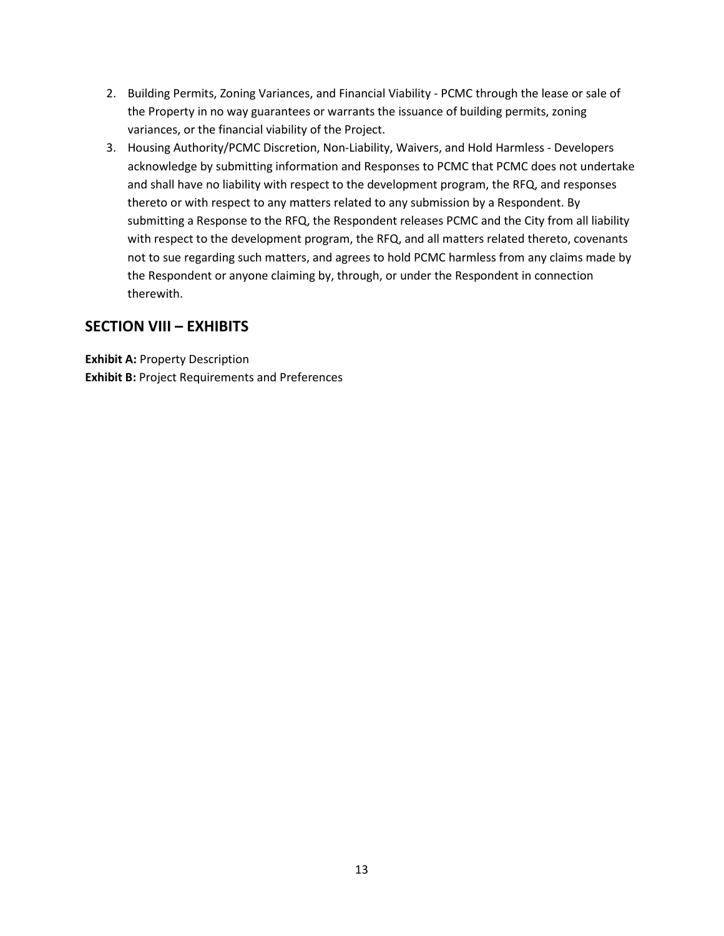- 2. Building Permits, Zoning Variances, and Financial Viability PCMC through the lease or sale of the Property in no way guarantees or warrants the issuance of building permits, zoning variances, or the financial viability of the Project.
- 3. Housing Authority/PCMC Discretion, Non-Liability, Waivers, and Hold Harmless Developers acknowledge by submitting information and Responses to PCMC that PCMC does not undertake and shall have no liability with respect to the development program, the RFQ, and responses thereto or with respect to any matters related to any submission by a Respondent. By submitting a Response to the RFQ, the Respondent releases PCMC and the City from all liability with respect to the development program, the RFQ, and all matters related thereto, covenants not to sue regarding such matters, and agrees to hold PCMC harmless from any claims made by the Respondent or anyone claiming by, through, or under the Respondent in connection therewith.

## **SECTION VIII – EXHIBITS**

**Exhibit A:** Property Description **Exhibit B:** Project Requirements and Preferences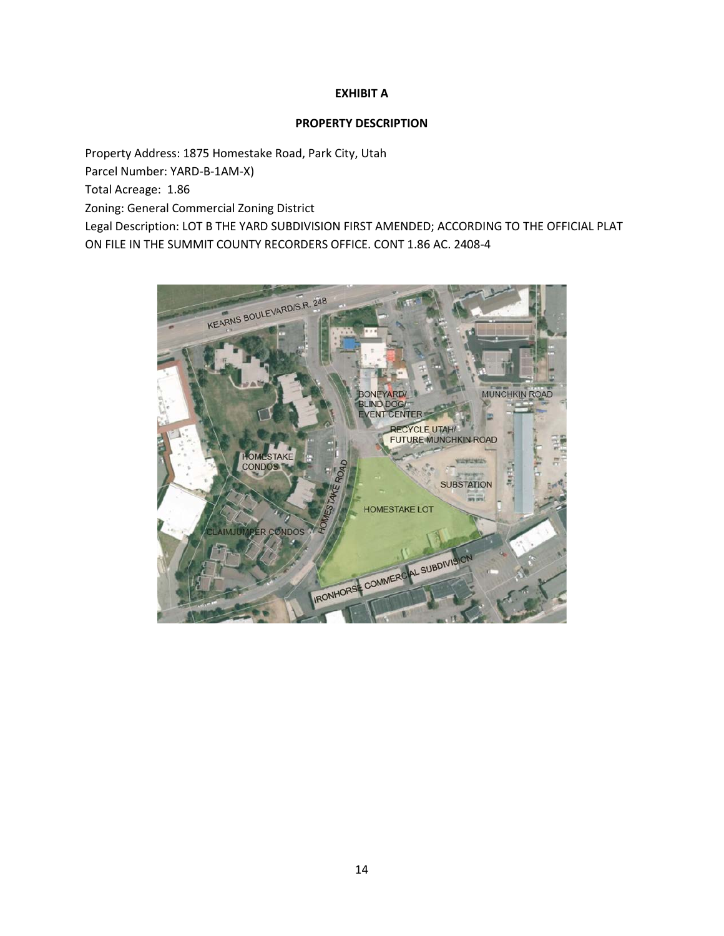### **EXHIBIT A**

### **PROPERTY DESCRIPTION**

Property Address: 1875 Homestake Road, Park City, Utah Parcel Number: YARD-B-1AM-X) Total Acreage: 1.86 Zoning: General Commercial Zoning District Legal Description: LOT B THE YARD SUBDIVISION FIRST AMENDED; ACCORDING TO THE OFFICIAL PLAT ON FILE IN THE SUMMIT COUNTY RECORDERS OFFICE. CONT 1.86 AC. 2408-4